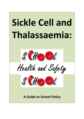# Sickle Cell and Thalassaemia:







A Guide to School Policy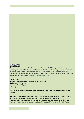

This work is licensed under Creative Commons. Except for the ERSC logo on the final page, it may be freely used and distributed provided original authorship is acknowledged. It may be adapted for re-use, provided the resultant work is shared back with the sickle cell and thalassaemia communities by offering the revised material to the Sickle Cell Open: Online Topics and Education Resources (SCOOTER) project at www.sicklecellanaemia.org.

Simon Dyson Unit for the Social Study of Thalassaemia and Sickle Cell, De Montfort University, Leicester, United Kingdom sdyson@dmu.ac.uk

We would like to thank the following for their critical appraisal of earlier drafts of this policy leaflet:

- Professor Elizabeth Anionwu, CBE, Emeritus Professor of Nursing, University of West London.
- Suzi Crawford, Specialist Nurse Counsellor, Soho Health Centre, Birmingham.
- Dr Paul Telfer, Senior Lecturer in Haematology at Queen Mary, University of London , and Honorary Consultant Haematologist at St Bartholomew's and The Royal London NHS Trusts.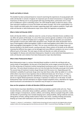# Health and Safety in Schools

This booklet has been produced based on research examining the experiences of young people with sickle cell disorder in schools in England. An important part of school inclusiveness is recognising the importance of offering care to young people with long-standing illness, particularly since a major part of childhood is spent in attending school. The 1974 Health & Safety at Work Act places a duty upon education employers to ensure the health and safety of pupils. Part of this responsibility is to have a health and safety policy that includes supporting pupils with medical conditions. Pupils with sickle cell disorder or beta-thalassaemia major come under this legislation and guidance.

# What is Sickle Cell Disorder (SCD)?

Sickle cell disorder (SCD) is a collective name for a series of serious inherited chronic conditions that can affect all systems of the body. It is one of the most common genetic conditions in the world and affects around 1 in 2,000 of all babies born in England<sup>1</sup>. These sickle cell disorders are associated with episodes of severe pain called sickle cell painful crises. People with sickle cell disorder have a type of haemoglobin (called haemoglobin S (HbS) or sickle haemoglobin) which differs from normal adult haemoglobin (haemoglobin A or HbA). This can cause red blood cells to change shape and become blocked in the blood vessels, causing acute pain. Many systems of the body can be affected meaning that different key organs can be damaged and many different symptoms can occur in many different parts of the body. The main types of sickle cell disorder are sickle cell anaemia, haemoglobin SC disease and sickle beta-thalassaemia. Despite its name sickle beta-thalassaemia is a sickle cell disorder and is distinct from beta-thalassaemia major described below.

# What is Beta-Thalassaemia Major?

Beta-thalassaemia major is a serious inherited blood condition in which the red blood cells are nearly empty of haemoglobin, the key part of the blood that carries oxygen around the body. The first life-saving step of treatment involves having blood transfusions every 3-4 weeks for the rest of their lives. This extra blood introduces extra iron into the body that the body cannot get rid of easily. The second step of treatment involves drugs that get rid of the excess iron. Depending upon the individual's suitability for particular drugs some may take these orally, either by tablet or in a drink, whilst others may have to have injections that are delivered slowly over 10-12 hours, 5-7 days a week. Some young people with SCD, identified by screening as being at high risk of a stroke, may also be on regular blood transfusions and drugs or injections to reduce iron in the body. For both thalassaemia major and SCD attendance at regular hospital outpatient clinics, attendance for regular blood transfusions and attendance for treatment may all impact on school attendance.

# How can the symptoms of sickle cell disorders (SCD) be prevented?

Certain factors have been identified as more likely to precipitate a painful sickle cell crisis. These include infections, cold and/or damp conditions, pollution, dehydration, strenuous exertion, stress, sudden changes in temperature, alcohol, caffeine, and smoking. Advice to people living with a sickle cell disorder on preventing crises includes keeping warm, eating healthily, taking moderate exercise, taking plenty of fluids, seeking medical advice if they have a fever, avoiding smoking and alcohol, keeping up to date with medications and vaccinations, and trying to live a stress free life.

<sup>1</sup> Streetly, A., Latinovic, R., and Henthorn, J. (2010) Positive Screening and carrier results for the England-wide universal newborn sickle cell screening programme by ethnicity and area for 2005-7, Journal of Clinical Pathology, 63: 626-629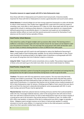### Preventive measures to support people with SCD or beta-thalassaemia major

Since those with SCD or thalassaemia are ill-suited to hard manual work, it becomes doubly important for those with SCD or thalassaemia to receive a good education and sound careers advice.

School absences: If schools/colleges do not have strong supportive frameworks on sickle cell disorder to reduce school absences, then studies have suggested that a pupil with SCD could miss weeks of schooling a year, most often in short absences of 2-3 days at a time. Most pupils with SCD do not feel supported by schools in catching up these absences. A minority have absences at or beyond levels defined by government as persistently absent. It is important such pupils are not mislabeled by education welfare officers as truant and their parents pressured to account for themselves if such absences are the result of serious episodes of illness.

#### Good Practice: School Absences

 One school has a policy of regular twilight catch-up sessions after school. This learning centre is staffed on a rota basis so that pupils who have missed a lesson for any reason can be helped to catch up in the presence of teachers. This not only helps the young person with sickle cell disorder catch up, but it does so without drawing attention to them as different from other pupils.

Water: Young people with SCD need to be well hydrated to reduce the likelihood of becoming ill. Have a ready supply of fresh drinking water available. Do not restrict drinking water in class. Ensure water fountains are working and kept in the highest state of cleanliness so young people with SCD are not put off using them and risk of infection is kept to a minimum.

Using the Toilet: People with SCD cannot concentrate urine as readily. They produce large quantities of dilute urine and need to go to the toilet more often. Do not restrict toilet breaks for children.

#### Good Practice: Using the Toilet

One school has instituted a system of issuing the young person with a laminated card stating that the young person has the right to excuse themselves during lesson in order to go to the toilet.

**Tiredness:** The person with SCD may experience severe anaemia. This may mean they feel tired, lethargic and unable to concentrate. They may feel tired to the point where they feel they need to sleep. Young people with beta-thalassaemia major are likely to be tired towards the end of their 4 week cycle of transfusions. It is important that teachers do not mistake serious medical symptoms of SCD or beta-thalassaemia major for laziness. Climbing several flights of stairs several times per day to get to and from the classroom is physically demanding for some young people with SCD. In some cases issuing a personal lift pass may be appropriate.

Physical Exercise: Avoid hard, physical exercise involving strenuous exertion that could precipitate a sickle cell crisis. Encourage moderate exercise. Listen to the young person who will come to know their own safe limits of physical activity. For SCD or beta-thalassaemia major do not refuse requests if a young person asks to be excused or stop activity because of tiredness or pain. For children with SCD, cold or wet weather, or exposure of the skin to cooling wind may all be a trigger to episodes of illness. Obligatory sports and gym sessions out of doors in cold and wet weather is a potent stimulant to crisis for some children. It is important to listen to the child and parent, and follow advice from their specialist medical teams about this.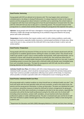#### Good Practice: Swimming

Young people with SCD are advised not to become cold. This may happen when swimming in unheated pools or by delays in drying off afterwards. It is always important to listen to the views of parents and the young person about inclusion in activities such as swimming. One school made an arrangement with their local swimming pool to have the pool temperature increased when the class with the child with SCD was due to take part in a swimming session. This ensured inclusion of the young person in a valued school activity without making the young person feel separate from peers.

Infection: Young people with SCD have a damaged or missing spleen (the organ that helps to fight infections). Enable safe storage and dispensing of any antibiotic drugs prescribed for the young person with sickle cell disorder.

**Temperature:** Avoid activities that require outdoor work in cold or damp conditions; avoid underheating of classrooms, especially mobile classrooms; maintain good ventilation of study areas. Allow coats to be worn in class, and permit the child with SCD to stay inside at break in cold or wet and windy weather.

## Good Practice: Temperature

Young people with SCD may become ill if they are too hot or too cold. Schools should work with the young person to establish agreed warmer clothing for indoor use within school. They should not be made to go outside in cold or rainy or windy weather during breaks. Staff supervising breaks, such as assistants or dinner staff, should be instructed not to enforce this. One school was aware that its complement of rooms included mobile classrooms that readily became too hot or too cold. It used its timetabling system to ensure that classes with a child with sickle cell disorder were timetabled away from such unsuitable classrooms. This kept the young person with SCD safe, but did so without drawing attention to him as different from others.

Individual Health Care Plans: All children with SCD or beta-thalassaemia major should have individual health care plans, which should be reviewed yearly. As both SCD and beta-thalassaemia major have numerous possible complications affecting many systems of the body, it is important, where possible, to include a specialist sickle cell or thalassaemia nurse in drawing up this plan.

# Good Practice: Individual Health Care Plans

All young people with a medical condition at school should have an individual health care plan<sup>2</sup>. One local area works with the local specialist sickle cell nurse counselor, as well as the school nurse, the parents and the young person themselves, to draw up these plans. The plans are individual but cover as a minimum: preventive measures to keep the child well at school; arrangements for giving pain medication to the child; what constitutes an emergency and what to do; key contacts, especially the consultant who will be the key health professional caring for the child; and a list of school staff (including school secretaries, canteen staff, caretakers, not just teachers) who have attended a professional update on sickle cell/thalassaemia). The plan is reviewed each year and the list of staff who have received an update checked against those the young person is likely to meet during their academic year.

<sup>2</sup> Department for Education and Skills (2005) Managing Medicine in Schools and Early Years Settings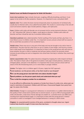#### Medical Issues and Medical Emergencies for Sickle Cell Disorders

Acute chest syndrome: Signs include chest pain, coughing, difficulty breathing, and fever. It can appear to be similar to flu like symptoms. However, it is important to see a consultant ASAP.

Aplastic crisis: This is when the bone marrow temporarily slows its production of red blood cells, usually due to infection with a virus called ParvovirusB19. This results in a severe drop in the red cell count and severe anaemia. Signs include paleness, fatigue, and rapid pulse.

Fever: Children with sickle cell disorder are at increased risk for certain bacterial infections. A fever of 101° Fahrenheit (38° Celsius) or higher, could signal an infection. Children with sickle cell disorder and fever should be seen by a consultant without delay.

Hand-foot syndrome (also called dactylitis): Painful swelling of the hands and feet, plus fever. It is most likely to occur in children under five. It is important nursery and pre-school staff are aware of this to avoid false accusations of non-accidental injury.

**Painful crises:** These may occur in any part of the body and may be brought on by cold or heat or dehydration. The pain may last a few hours or up to 2 weeks or even longer, and may be so severe that a child needs to be hospitalized. It is important to listen to the young person who will come to know whether the pain is mild or moderate and will pass (where schools can promote school inclusion by permitting rest and re-integration into school later that day) or whether they need to go to hospital.

**Splenic sequestration crisis:** The spleen becomes enlarged by trapping the sickle shaped red blood cells. This leads to fewer cells in the general circulation. Early signs include paleness, weakness, an enlarged spleen, and pain in the abdomen. It is important that nursery and pre-school staff are aware of this life-threatening event, as it is more likely in younger children.

Strokes: The higher risk is in children aged 2-10 years. Apply the FAST approach:

Facial weakness: can the person smile, or has their mouth or eye drooped?

Arm: can the young person raise both their arms above shoulder height?

Speech problems: can the person speak clearly and understand what you say?

Time: to dial the emergency number for an ambulance.

It can be difficult to differentiate the symptoms of stroke from those of a sickle crisis, where pain can result in restriction of movement. Children with SCD have a Transcranial Doppler Scan yearly from age 2 to assess risk of stroke.

Silent Strokes: Changes in a young person's behaviour or concentration or a sudden deterioration in the quality of their school work could be due to several reasons. In up to a fifth of young people with sickle cell disorders, small areas of brain damage are evident on a sensitive brain scan (MRI scan) resulting from impaired blood supply. It is important to liaise with the young person's medical consultant in order to investigate if such changed behaviour is owing to a silent stroke.

**Priapism:** An unwanted painful erection of the penis, unrelated to thoughts about sex. Urgent medical help should be sought if it lasts more than two hours.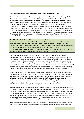#### How does someone get sickle cell disorder (SCD) or beta-thalassaemia major?

Sickle cell disorders and beta-thalassaemia major are inherited, that is passed on through the family. They are not infectious diseases and cannot be caught like coughs or colds. Sickle cell or thalassaemia carriers are sometimes referred to as having sickle cell/thalassaemia trait. Carriers have a normal and an affected gene. In the case of sickle cell carriers their red blood cells contain both normal haemoglobin (adult haemoglobin, haemoglobin A) and sickle haemoglobin (haemoglobin S). Carriers are usually perfectly healthy themselves, and may not know they have trait unless they have a blood test. If someone is a carrier it cannot turn into sickle cell disorder or beta-thalassaemia major. For example, if both partners are sickle cell carriers (haemoglobin AS), then in each pregnancy there is a one in four chance that they could have a child with sickle-cell anaemia (haemoglobin SS, a type of sickle cell disorder); a one in four chance of a child with normal haemoglobin (haemoglobin AA), and a one in two chance of a child who is a sickle cell carrier (AS).

#### Good Practice: Sickle Cell and Thalassaemia in the Curriculum

One means of creating a positive school ethos is to make the curriculum relevant to the pupils. The pattern of genetic inheritance for both sickle cell and thalassaemia are an integral part of the genetics part of the GCSE science curriculum. The Sickle Cell Society has produced guidance on how sickle cell can be incorporated into various key stages of the national curriculum http://www.sicklecellsociety.orgThe UK Thalassaemia Society http://www.ukts.org has advice for science teachers on using thalassaemia for lessons on genetics including online DVDs.

Pain: SCD is an unpredictable condition, variable over time and between different people. This creates uncertainty for the young person. The painful crises can come on quite suddenly. Pain can make a person grumpy, unresponsive and uncooperative. The pain of a sickle cell crisis can be mild, moderate or severe. Since pain is such a common experience for people with SCD it is vital that the school develops a policy for supporting children when in pain. The care plan needs to be worked out individually for each child, with input from teacher, school nurse, sickle cell nurse specialist, child and parents. It is very important that the policy includes instructions about giving painkillers (including who is responsible for administration, which pain killers and how to decide which one to give).

Medication: A key part of the Individual Health Care Plan should include arrangements for giving medication, and agreed procedures for assessing the severity of the pain. The key is to listen to the young person. Where pain is mild or moderate a key aim should be to keep the young person in school, by combining pain medication with an opportunity for rest and time out in a safe environment so that they can return to lessons later in the day. A blanket policy on not administering drugs or on having a young person collected as an outcome of administering any medication will in effect be an exclusionary policy for the young person with a sickle cell disorder.

Teacher Awareness: All staff should be made aware of sickle cell/thalassaemia. Some schools cover this using part of a teacher day. Staff need to know what to do if the child has a painful crisis, how to recognize signs and symptoms of a stroke in young people with SCD, and learn to listen to the child if the child says they are feeling unwell. Ensure there are robust systems for relaying this information when the child has a supply teacher, when they change class or when they change school. Ensure the availability of a safe area for a pupil with SCD or thalassaemia to recover and take time out from activities. They may be able to return to study later in the day.

Challenging Discrimination: Ensure that SCD/thalassaemia is discussed as part of Personal, Health and Social Education and make sure that other pupils are challenged on any discriminatory views.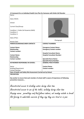# A Framework for an Individual Health Care Plan for Someone with Sickle Cell Disorder

| Name:                                                            |                                                                  |  |  |
|------------------------------------------------------------------|------------------------------------------------------------------|--|--|
|                                                                  |                                                                  |  |  |
| Date of Birth:                                                   |                                                                  |  |  |
| School:                                                          |                                                                  |  |  |
|                                                                  |                                                                  |  |  |
| <b>Current Class/Group:</b>                                      |                                                                  |  |  |
|                                                                  |                                                                  |  |  |
| Condition 1: Sickle Cell Anaemia (HbSS)<br>Condition 2:          |                                                                  |  |  |
| Condition 3:                                                     |                                                                  |  |  |
|                                                                  |                                                                  |  |  |
| Date of Plan:                                                    |                                                                  |  |  |
|                                                                  | Photograph                                                       |  |  |
| <b>Review Date:</b>                                              |                                                                  |  |  |
| PARENT/GUARDIAN/CARER CONTACTS                                   | <b>CONTACT NUMBERS</b>                                           |  |  |
| <b>Contact Name:</b>                                             | <b>Emergency Contact Name:</b>                                   |  |  |
| <b>Relationship:</b>                                             | <b>Emergency Contact number:</b>                                 |  |  |
| <b>Contact number:</b>                                           |                                                                  |  |  |
|                                                                  | <b>Hospital Consultant Name:</b>                                 |  |  |
| <b>Contact Name:</b>                                             | <b>Hospital Consultant Number:</b>                               |  |  |
| <b>Relationship:</b><br><b>Contact number:</b>                   |                                                                  |  |  |
|                                                                  | <b>Specialist Nurse Name:</b><br><b>Specialist Nurse Number:</b> |  |  |
| <b>KEYWORKER RESPONSIBLE IN SCHOOL:</b>                          | <b>GENERAL PRACTITIONER:</b>                                     |  |  |
|                                                                  |                                                                  |  |  |
| Name:                                                            | <b>Contact Name:</b>                                             |  |  |
| Building/Department:                                             | <b>Contact number:</b>                                           |  |  |
| <b>Contact Number:</b>                                           |                                                                  |  |  |
| Date of Health and Safety Risk Assessment Carried out by School: |                                                                  |  |  |
| <b>PREVENTION:</b>                                               |                                                                  |  |  |

Key worker to ensure that each member of school staff is aware of importance of following preventive measures….

Unrestricted access to drinking water during class time Unrestricted access to use of the toilet, including during class time Keeping warm: permitting coat/hat/gloves indoors, not sending outside in break Not forcing to undertake exercise if they say they are tired or in pain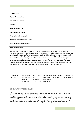# **MEDICATION**

Name of medication:

Reason for medication:

Dosage:

Time of medication:

Special Considerations:

Medication will be stored:

Arrangement for Delivery to School:

Written Records Arrangement:

# PAIN MANAGEMENT

The aim is to strike a balance between responding appropriately to medical emergencies and maintaining an inclusive school environment where a pupil with sickle cell disorder is not constantly sent home for episodes of minor pain. Ask the specialist sickle cell nurse or hospital consultant if there is a pain scale suitable for use in getting the young person with sickle cell disorder to say how severe the pain they are in. There are scales in which a young person is shown drawings of a series of cartoon faces ranging from happy (no pain) to sad and crying (most pain). Such a scale could be included in the individual health care plan. The following scale is for illustrative purposes only and any scale used should have the approval of the young person's hospital consultant.

| 0           |                  |                  | 6                |                  | 10               |
|-------------|------------------|------------------|------------------|------------------|------------------|
|             |                  |                  |                  |                  |                  |
|             |                  |                  |                  |                  |                  |
| I am not in | I am in a little | I feel if I have | I feel I need to | I feel I need to | I feel I need to |
| any pain    | pain but don't   | mv               | have time out    | go home          | go to hospital   |
|             | need my          | medication I     | but may feel     |                  |                  |
|             | medication       | can be in class  | better later     |                  |                  |

# OTHER PARTICULAR NEEDS/ISSUES

This section can contain information specific to the young person's individual condition (for example, information about silent strokes, leg ulcers, priapism, headaches, seizures or other possible complications of sickle cell disorder).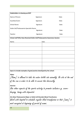| <b>Stakeholders in drawing up IHCP</b>                                                        |            |       |  |  |  |
|-----------------------------------------------------------------------------------------------|------------|-------|--|--|--|
| Name of Person:                                                                               | Signature: | Date: |  |  |  |
| Guardian/Carer:                                                                               | Signature: | Date: |  |  |  |
| <b>School Nurse:</b>                                                                          | Signature: | Date: |  |  |  |
| Sickle Cell/Thalassaemia Specialist Nurse:                                                    |            |       |  |  |  |
|                                                                                               | Signature: | Date: |  |  |  |
| Teacher:                                                                                      | Signature: | Date: |  |  |  |
| School staff Who Have Received Sickle Cell/Thalassaemia Awareness Session:                    |            |       |  |  |  |
| Name:                                                                                         | Date:      |       |  |  |  |
|                                                                                               |            |       |  |  |  |
|                                                                                               |            |       |  |  |  |
|                                                                                               |            |       |  |  |  |
|                                                                                               |            |       |  |  |  |
|                                                                                               |            |       |  |  |  |
|                                                                                               |            |       |  |  |  |
|                                                                                               |            |       |  |  |  |
|                                                                                               |            |       |  |  |  |
| Space to include examples of good practice developed by the school:                           |            |       |  |  |  |
| <b>Water</b><br>/Name / is allowed to take his water bottle into assembly. He sits at the end |            |       |  |  |  |
| of the row in order to be able to access this discreetly.                                     |            |       |  |  |  |
| <b>Exercise</b>                                                                               |            |       |  |  |  |
| Use other aspects of the sports activity to promote inclusion e.g. score-                     |            |       |  |  |  |
| keeping, timing with stopwatch                                                                |            |       |  |  |  |
| (For Beta-Thalassaemia Major or Sickle Cell Disorder) Blood Transfusions                      |            |       |  |  |  |
| Work with hospital to schedule regular blood transfusions so that (name) is                   |            |       |  |  |  |
| most energized at beginning of period of exams.                                               |            |       |  |  |  |
|                                                                                               |            |       |  |  |  |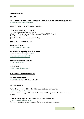# Further Information

## **RESEARCH**

For a link to the research evidence underpinning the production of this information, please visit: http://www.sicklecelleducation.com

This site includes resources for teachers including:

My Pupil has Sickle Cell Disease [Leaflet] My Friend has Sickle Cell Disease [Leaflet] What to Do if You Suspect your Pupil is having a Sickle Cell Crisis {Poster] Sickle Cell and Stroke [Leaflet] If You Teach a Child with Thalassaemia [Leaflet]

#### SICKLE CELL VOLUNTARY GROUPS

The Sickle Cell Society http://www.sicklecellsociety.org

Organization for Sickle Cell Anaemia Research http://www.oscarbirmingham.org.uk http://www.oscarsandwell.org.uk http://www.oscarbristol.org.uk

Sickle Cell Young Stroke Survivors http://www.scyss.org

Broken Silence http://www.brokensilence.org

## THALASSAEMIA VOLUNTARY GROUPS

UK Thalassaemia Society http://www.ukts.org (includes on-line DVDs)

#### OTHER RESOURCES

#### National Health Service Sickle Cell and Thalassaemia Screening Programme

http://www.sct.screening.nhs.uk For a downloadable copy of A Parent's Guide to Care and Management of Your Child with Sickle Cell Disease

SCOOTER Open Education Resources for Sickle Cell and Thalassaemia http://www.sicklecellanaemia.org/ For free sickle cell/thalassaemia images and other open educational resources